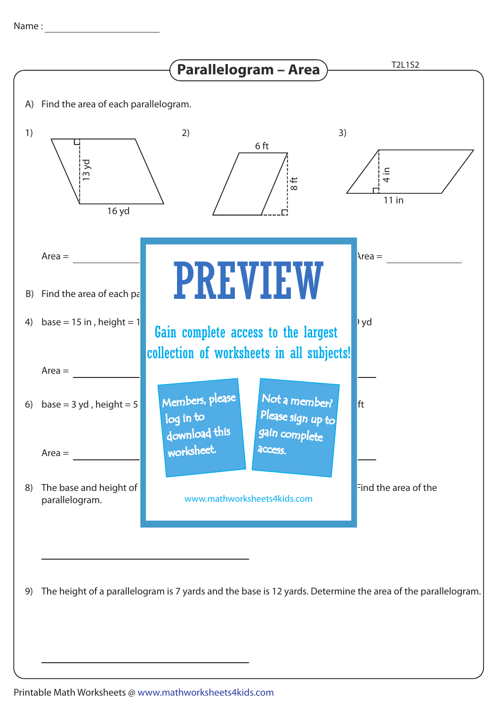